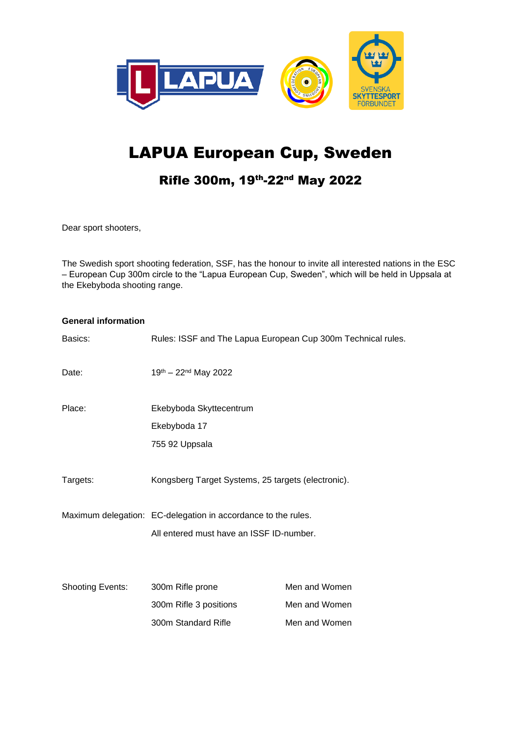

# LAPUA European Cup, Sweden

### Rifle 300m, 19th-22nd May 2022

Dear sport shooters,

The Swedish sport shooting federation, SSF, has the honour to invite all interested nations in the ESC – European Cup 300m circle to the "Lapua European Cup, Sweden", which will be held in Uppsala at the Ekebyboda shooting range.

| <b>General information</b> |                                                               |               |
|----------------------------|---------------------------------------------------------------|---------------|
| Basics:                    | Rules: ISSF and The Lapua European Cup 300m Technical rules.  |               |
| Date:                      | 19th - 22nd May 2022                                          |               |
| Place:                     | Ekebyboda Skyttecentrum                                       |               |
|                            | Ekebyboda 17                                                  |               |
|                            | 755 92 Uppsala                                                |               |
| Targets:                   | Kongsberg Target Systems, 25 targets (electronic).            |               |
|                            | Maximum delegation: EC-delegation in accordance to the rules. |               |
|                            | All entered must have an ISSF ID-number.                      |               |
| <b>Shooting Events:</b>    | 300m Rifle prone                                              | Men and Women |
|                            | 300m Rifle 3 positions                                        | Men and Women |
|                            | 300m Standard Rifle                                           | Men and Women |
|                            |                                                               |               |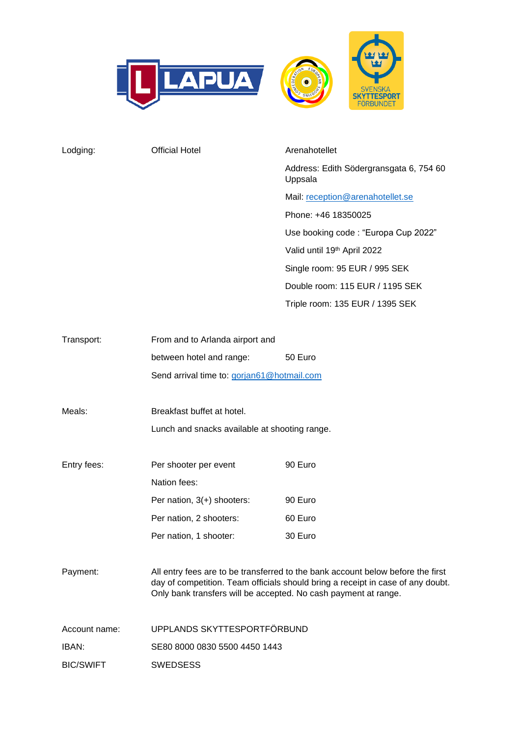

| Lodging:      | <b>Official Hotel</b>                                                                                                                                                                                                                 | Arenahotellet                                      |  |
|---------------|---------------------------------------------------------------------------------------------------------------------------------------------------------------------------------------------------------------------------------------|----------------------------------------------------|--|
|               |                                                                                                                                                                                                                                       | Address: Edith Södergransgata 6, 754 60<br>Uppsala |  |
|               |                                                                                                                                                                                                                                       | Mail: reception@arenahotellet.se                   |  |
|               |                                                                                                                                                                                                                                       | Phone: +46 18350025                                |  |
|               |                                                                                                                                                                                                                                       | Use booking code: "Europa Cup 2022"                |  |
|               |                                                                                                                                                                                                                                       | Valid until 19th April 2022                        |  |
|               |                                                                                                                                                                                                                                       | Single room: 95 EUR / 995 SEK                      |  |
|               |                                                                                                                                                                                                                                       | Double room: 115 EUR / 1195 SEK                    |  |
|               |                                                                                                                                                                                                                                       | Triple room: 135 EUR / 1395 SEK                    |  |
| Transport:    | From and to Arlanda airport and                                                                                                                                                                                                       |                                                    |  |
|               | between hotel and range:                                                                                                                                                                                                              | 50 Euro                                            |  |
|               | Send arrival time to: gorjan61@hotmail.com                                                                                                                                                                                            |                                                    |  |
|               |                                                                                                                                                                                                                                       |                                                    |  |
| Meals:        | Breakfast buffet at hotel.                                                                                                                                                                                                            |                                                    |  |
|               | Lunch and snacks available at shooting range.                                                                                                                                                                                         |                                                    |  |
| Entry fees:   | Per shooter per event                                                                                                                                                                                                                 | 90 Euro                                            |  |
|               | Nation fees:                                                                                                                                                                                                                          |                                                    |  |
|               | Per nation, $3(+)$ shooters:                                                                                                                                                                                                          | 90 Euro                                            |  |
|               | Per nation, 2 shooters:                                                                                                                                                                                                               | 60 Euro                                            |  |
|               | Per nation, 1 shooter:                                                                                                                                                                                                                | 30 Euro                                            |  |
| Payment:      | All entry fees are to be transferred to the bank account below before the first<br>day of competition. Team officials should bring a receipt in case of any doubt.<br>Only bank transfers will be accepted. No cash payment at range. |                                                    |  |
| Account name: | UPPLANDS SKYTTESPORTFÖRBUND                                                                                                                                                                                                           |                                                    |  |

IBAN: SE80 8000 0830 5500 4450 1443

BIC/SWIFT SWEDSESS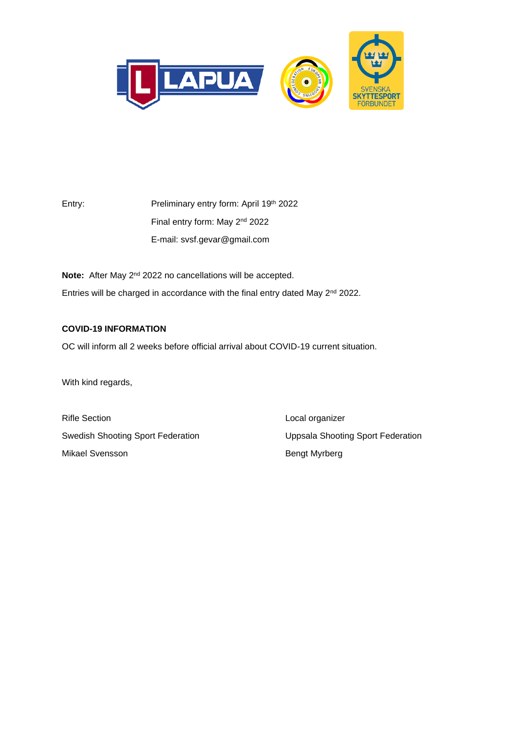

Entry: Preliminary entry form: April 19<sup>th</sup> 2022 Final entry form: May 2<sup>nd</sup> 2022 E-mail: svsf.gevar@gmail.com

Note: After May 2<sup>nd</sup> 2022 no cancellations will be accepted. Entries will be charged in accordance with the final entry dated May 2<sup>nd</sup> 2022.

#### **COVID-19 INFORMATION**

OC will inform all 2 weeks before official arrival about COVID-19 current situation.

With kind regards,

Rifle Section **Local organizer** Swedish Shooting Sport Federation Uppsala Shooting Sport Federation Mikael Svensson **Bengt Myrberg**